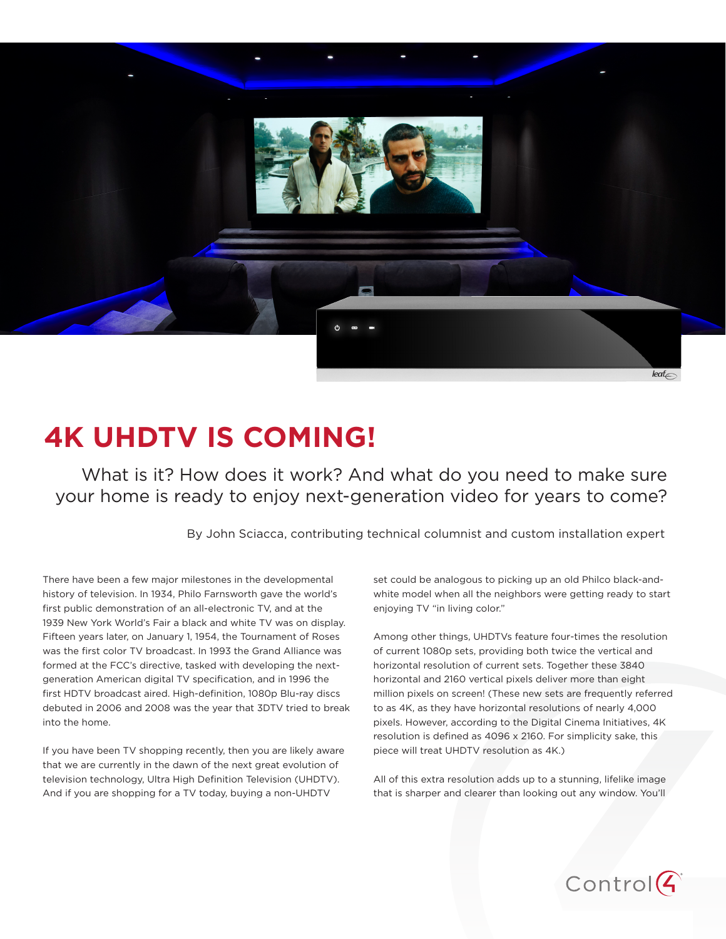

# **4K UHDTV IS COMING!**

What is it? How does it work? And what do you need to make sure your home is ready to enjoy next-generation video for years to come?

By John Sciacca, contributing technical columnist and custom installation expert

There have been a few major milestones in the developmental history of television. In 1934, Philo Farnsworth gave the world's first public demonstration of an all-electronic TV, and at the 1939 New York World's Fair a black and white TV was on display. Fifteen years later, on January 1, 1954, the Tournament of Roses was the first color TV broadcast. In 1993 the Grand Alliance was formed at the FCC's directive, tasked with developing the nextgeneration American digital TV specification, and in 1996 the first HDTV broadcast aired. High-definition, 1080p Blu-ray discs debuted in 2006 and 2008 was the year that 3DTV tried to break into the home.

If you have been TV shopping recently, then you are likely aware that we are currently in the dawn of the next great evolution of television technology, Ultra High Definition Television (UHDTV). And if you are shopping for a TV today, buying a non-UHDTV

set could be analogous to picking up an old Philco black-andwhite model when all the neighbors were getting ready to start enjoying TV "in living color."

Among other things, UHDTVs feature four-times the resolution of current 1080p sets, providing both twice the vertical and horizontal resolution of current sets. Together these 3840 horizontal and 2160 vertical pixels deliver more than eight million pixels on screen! (These new sets are frequently referred to as 4K, as they have horizontal resolutions of nearly 4,000 pixels. However, according to the Digital Cinema Initiatives, 4K resolution is defined as 4096 x 2160. For simplicity sake, this piece will treat UHDTV resolution as 4K.)

All of this extra resolution adds up to a stunning, lifelike image that is sharper and clearer than looking out any window. You'll

 $Control(G)$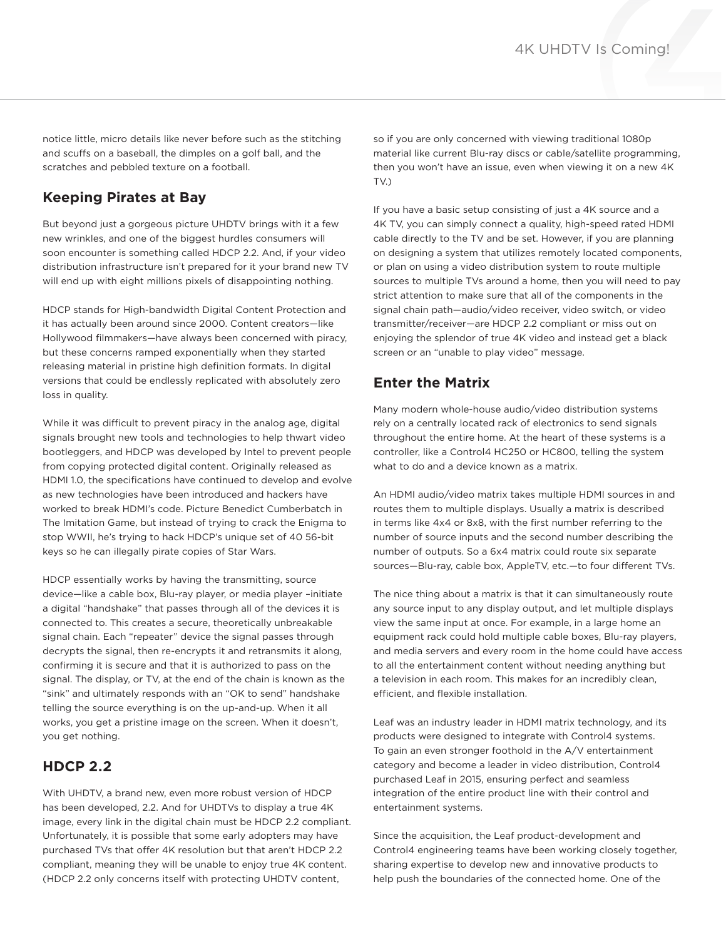notice little, micro details like never before such as the stitching and scuffs on a baseball, the dimples on a golf ball, and the scratches and pebbled texture on a football.

## **Keeping Pirates at Bay**

But beyond just a gorgeous picture UHDTV brings with it a few new wrinkles, and one of the biggest hurdles consumers will soon encounter is something called HDCP 2.2. And, if your video distribution infrastructure isn't prepared for it your brand new TV will end up with eight millions pixels of disappointing nothing.

HDCP stands for High-bandwidth Digital Content Protection and it has actually been around since 2000. Content creators—like Hollywood filmmakers—have always been concerned with piracy, but these concerns ramped exponentially when they started releasing material in pristine high definition formats. In digital versions that could be endlessly replicated with absolutely zero loss in quality.

While it was difficult to prevent piracy in the analog age, digital signals brought new tools and technologies to help thwart video bootleggers, and HDCP was developed by Intel to prevent people from copying protected digital content. Originally released as HDMI 1.0, the specifications have continued to develop and evolve as new technologies have been introduced and hackers have worked to break HDMI's code. Picture Benedict Cumberbatch in The Imitation Game, but instead of trying to crack the Enigma to stop WWII, he's trying to hack HDCP's unique set of 40 56-bit keys so he can illegally pirate copies of Star Wars.

HDCP essentially works by having the transmitting, source device—like a cable box, Blu-ray player, or media player –initiate a digital "handshake" that passes through all of the devices it is connected to. This creates a secure, theoretically unbreakable signal chain. Each "repeater" device the signal passes through decrypts the signal, then re-encrypts it and retransmits it along, confirming it is secure and that it is authorized to pass on the signal. The display, or TV, at the end of the chain is known as the "sink" and ultimately responds with an "OK to send" handshake telling the source everything is on the up-and-up. When it all works, you get a pristine image on the screen. When it doesn't, you get nothing.

#### **HDCP 2.2**

With UHDTV, a brand new, even more robust version of HDCP has been developed, 2.2. And for UHDTVs to display a true 4K image, every link in the digital chain must be HDCP 2.2 compliant. Unfortunately, it is possible that some early adopters may have purchased TVs that offer 4K resolution but that aren't HDCP 2.2 compliant, meaning they will be unable to enjoy true 4K content. (HDCP 2.2 only concerns itself with protecting UHDTV content,

so if you are only concerned with viewing traditional 1080p material like current Blu-ray discs or cable/satellite programming, then you won't have an issue, even when viewing it on a new 4K TV.)

If you have a basic setup consisting of just a 4K source and a 4K TV, you can simply connect a quality, high-speed rated HDMI cable directly to the TV and be set. However, if you are planning on designing a system that utilizes remotely located components, or plan on using a video distribution system to route multiple sources to multiple TVs around a home, then you will need to pay strict attention to make sure that all of the components in the signal chain path—audio/video receiver, video switch, or video transmitter/receiver—are HDCP 2.2 compliant or miss out on enjoying the splendor of true 4K video and instead get a black screen or an "unable to play video" message.

#### **Enter the Matrix**

Many modern whole-house audio/video distribution systems rely on a centrally located rack of electronics to send signals throughout the entire home. At the heart of these systems is a controller, like a Control4 HC250 or HC800, telling the system what to do and a device known as a matrix.

An HDMI audio/video matrix takes multiple HDMI sources in and routes them to multiple displays. Usually a matrix is described in terms like 4x4 or 8x8, with the first number referring to the number of source inputs and the second number describing the number of outputs. So a 6x4 matrix could route six separate sources—Blu-ray, cable box, AppleTV, etc.—to four different TVs.

The nice thing about a matrix is that it can simultaneously route any source input to any display output, and let multiple displays view the same input at once. For example, in a large home an equipment rack could hold multiple cable boxes, Blu-ray players, and media servers and every room in the home could have access to all the entertainment content without needing anything but a television in each room. This makes for an incredibly clean, efficient, and flexible installation.

Leaf was an industry leader in HDMI matrix technology, and its products were designed to integrate with Control4 systems. To gain an even stronger foothold in the A/V entertainment category and become a leader in video distribution, Control4 purchased Leaf in 2015, ensuring perfect and seamless integration of the entire product line with their control and entertainment systems.

Since the acquisition, the Leaf product-development and Control4 engineering teams have been working closely together, sharing expertise to develop new and innovative products to help push the boundaries of the connected home. One of the